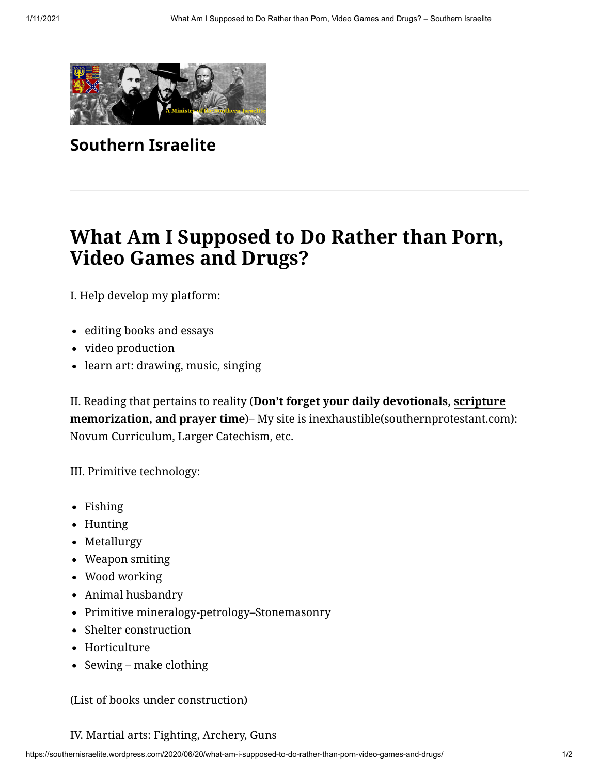

**[Southern Israelite](https://southernisraelite.wordpress.com/)**

## **What Am I Supposed to Do Rather than Porn, Video Games and Drugs?**

I. Help develop my platform:

- editing books and essays
- video production
- learn art: drawing, music, singing

II. Reading that pertains to reality (**Don't forget your daily devotionals, scripture memorization, and prayer time**[\)– My site is inexhaustible\(southernprotestant.com](https://href.li/?http://southernprotestant.com/memory.html)): Novum Curriculum, Larger Catechism, etc.

III. Primitive technology:

- Fishing
- Hunting
- Metallurgy
- Weapon smiting
- Wood working
- Animal husbandry
- Primitive mineralogy-petrology–Stonemasonry
- Shelter construction
- Horticulture
- Sewing make clothing

(List of books under construction)

## IV. Martial arts: Fighting, Archery, Guns